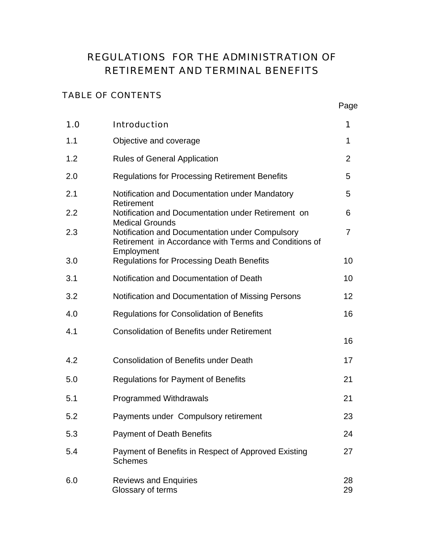# REGULATIONS FOR THE ADMINISTRATION OF RETIREMENT AND TERMINAL BENEFITS

### TABLE OF CONTENTS

| 1.0 | <b>Introduction</b>                                                                                                                              | 1              |
|-----|--------------------------------------------------------------------------------------------------------------------------------------------------|----------------|
| 1.1 | Objective and coverage                                                                                                                           | 1              |
| 1.2 | <b>Rules of General Application</b>                                                                                                              | $\overline{2}$ |
| 2.0 | <b>Regulations for Processing Retirement Benefits</b>                                                                                            | 5              |
| 2.1 | Notification and Documentation under Mandatory<br>Retirement                                                                                     | 5              |
| 2.2 | Notification and Documentation under Retirement on                                                                                               | 6              |
| 2.3 | <b>Medical Grounds</b><br>Notification and Documentation under Compulsory<br>Retirement in Accordance with Terms and Conditions of<br>Employment | $\overline{7}$ |
| 3.0 | <b>Regulations for Processing Death Benefits</b>                                                                                                 | 10             |
| 3.1 | Notification and Documentation of Death                                                                                                          | 10             |
| 3.2 | Notification and Documentation of Missing Persons                                                                                                | 12             |
| 4.0 | <b>Regulations for Consolidation of Benefits</b>                                                                                                 | 16             |
| 4.1 | <b>Consolidation of Benefits under Retirement</b>                                                                                                | 16             |
| 4.2 | <b>Consolidation of Benefits under Death</b>                                                                                                     | 17             |
| 5.0 | <b>Regulations for Payment of Benefits</b>                                                                                                       | 21             |
| 5.1 | <b>Programmed Withdrawals</b>                                                                                                                    | 21             |
| 5.2 | Payments under Compulsory retirement                                                                                                             | 23             |
| 5.3 | <b>Payment of Death Benefits</b>                                                                                                                 | 24             |
| 5.4 | Payment of Benefits in Respect of Approved Existing<br><b>Schemes</b>                                                                            | 27             |
| 6.0 | <b>Reviews and Enquiries</b><br>Glossary of terms                                                                                                | 28<br>29       |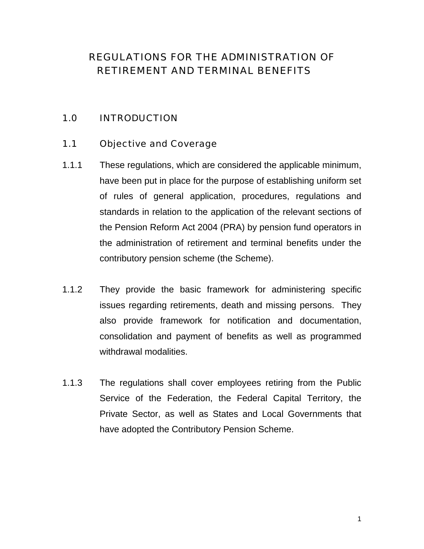# REGULATIONS FOR THE ADMINISTRATION OF RETIREMENT AND TERMINAL BENEFITS

### 1.0 INTRODUCTION

#### 1.1 Objective and Coverage

- 1.1.1 These regulations, which are considered the applicable minimum, have been put in place for the purpose of establishing uniform set of rules of general application, procedures, regulations and standards in relation to the application of the relevant sections of the Pension Reform Act 2004 (PRA) by pension fund operators in the administration of retirement and terminal benefits under the contributory pension scheme (the Scheme).
- 1.1.2 They provide the basic framework for administering specific issues regarding retirements, death and missing persons. They also provide framework for notification and documentation, consolidation and payment of benefits as well as programmed withdrawal modalities.
- 1.1.3 The regulations shall cover employees retiring from the Public Service of the Federation, the Federal Capital Territory, the Private Sector, as well as States and Local Governments that have adopted the Contributory Pension Scheme.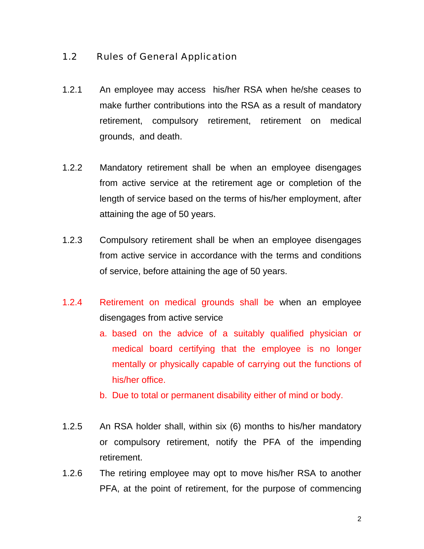### 1.2 Rules of General Application

- 1.2.1 An employee may access his/her RSA when he/she ceases to make further contributions into the RSA as a result of mandatory retirement, compulsory retirement, retirement on medical grounds, and death.
- 1.2.2 Mandatory retirement shall be when an employee disengages from active service at the retirement age or completion of the length of service based on the terms of his/her employment, after attaining the age of 50 years.
- 1.2.3 Compulsory retirement shall be when an employee disengages from active service in accordance with the terms and conditions of service, before attaining the age of 50 years.
- 1.2.4 Retirement on medical grounds shall be when an employee disengages from active service
	- a. based on the advice of a suitably qualified physician or medical board certifying that the employee is no longer mentally or physically capable of carrying out the functions of his/her office.
	- b. Due to total or permanent disability either of mind or body.
- 1.2.5 An RSA holder shall, within six (6) months to his/her mandatory or compulsory retirement, notify the PFA of the impending retirement.
- 1.2.6 The retiring employee may opt to move his/her RSA to another PFA, at the point of retirement, for the purpose of commencing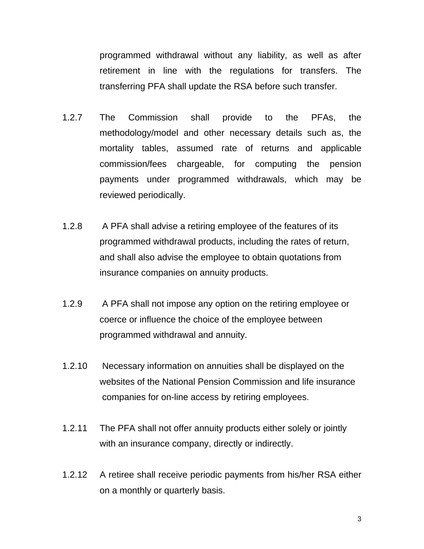programmed withdrawal without any liability, as well as after retirement in line with the regulations for transfers. The transferring PFA shall update the RSA before such transfer.

- 1.2.7 The Commission shall provide to the PFAs, the methodology/model and other necessary details such as, the mortality tables, assumed rate of returns and applicable commission/fees chargeable, for computing the pension payments under programmed withdrawals, which may be reviewed periodically.
- 1.2.8 A PFA shall advise a retiring employee of the features of its programmed withdrawal products, including the rates of return, and shall also advise the employee to obtain quotations from insurance companies on annuity products.
- 1.2.9 A PFA shall not impose any option on the retiring employee or coerce or influence the choice of the employee between programmed withdrawal and annuity.
- 1.2.10 Necessary information on annuities shall be displayed on the websites of the National Pension Commission and life insurance companies for on-line access by retiring employees.
- 1.2.11 The PFA shall not offer annuity products either solely or jointly with an insurance company, directly or indirectly.
- 1.2.12 A retiree shall receive periodic payments from his/her RSA either on a monthly or quarterly basis.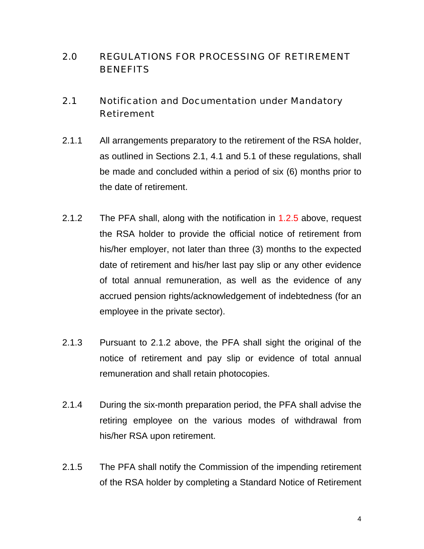## 2.0 REGULATIONS FOR PROCESSING OF RETIREMENT **BENEFITS**

### 2.1 Notification and Documentation under Mandatory Retirement

- 2.1.1 All arrangements preparatory to the retirement of the RSA holder, as outlined in Sections 2.1, 4.1 and 5.1 of these regulations, shall be made and concluded within a period of six (6) months prior to the date of retirement.
- 2.1.2 The PFA shall, along with the notification in 1.2.5 above, request the RSA holder to provide the official notice of retirement from his/her employer, not later than three (3) months to the expected date of retirement and his/her last pay slip or any other evidence of total annual remuneration, as well as the evidence of any accrued pension rights/acknowledgement of indebtedness (for an employee in the private sector).
- 2.1.3 Pursuant to 2.1.2 above, the PFA shall sight the original of the notice of retirement and pay slip or evidence of total annual remuneration and shall retain photocopies.
- 2.1.4 During the six-month preparation period, the PFA shall advise the retiring employee on the various modes of withdrawal from his/her RSA upon retirement.
- 2.1.5 The PFA shall notify the Commission of the impending retirement of the RSA holder by completing a Standard Notice of Retirement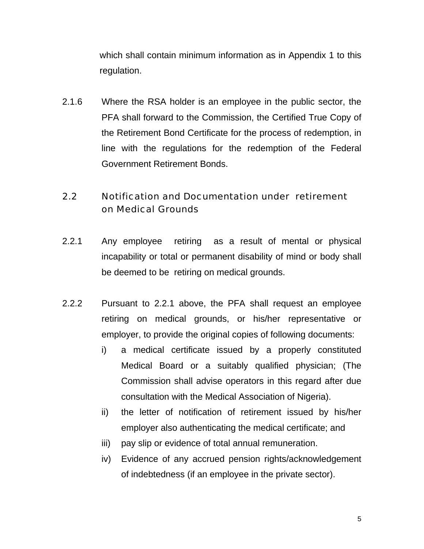which shall contain minimum information as in Appendix 1 to this regulation.

2.1.6 Where the RSA holder is an employee in the public sector, the PFA shall forward to the Commission, the Certified True Copy of the Retirement Bond Certificate for the process of redemption, in line with the regulations for the redemption of the Federal Government Retirement Bonds.

## 2.2 Notification and Documentation under retirement on Medical Grounds

- 2.2.1 Any employee retiring as a result of mental or physical incapability or total or permanent disability of mind or body shall be deemed to be retiring on medical grounds.
- 2.2.2 Pursuant to 2.2.1 above, the PFA shall request an employee retiring on medical grounds, or his/her representative or employer, to provide the original copies of following documents:
	- i) a medical certificate issued by a properly constituted Medical Board or a suitably qualified physician; (The Commission shall advise operators in this regard after due consultation with the Medical Association of Nigeria).
	- ii) the letter of notification of retirement issued by his/her employer also authenticating the medical certificate; and
	- iii) pay slip or evidence of total annual remuneration.
	- iv) Evidence of any accrued pension rights/acknowledgement of indebtedness (if an employee in the private sector).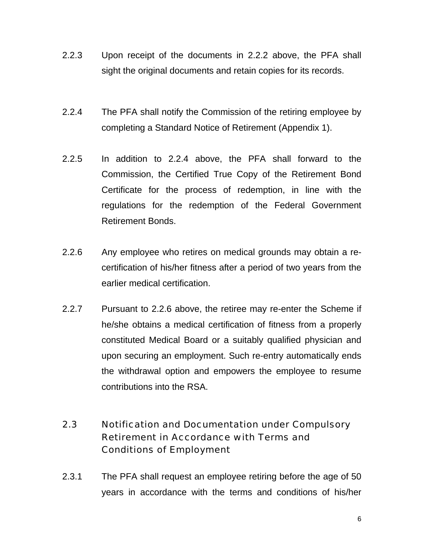- 2.2.3 Upon receipt of the documents in 2.2.2 above, the PFA shall sight the original documents and retain copies for its records.
- 2.2.4 The PFA shall notify the Commission of the retiring employee by completing a Standard Notice of Retirement (Appendix 1).
- 2.2.5 In addition to 2.2.4 above, the PFA shall forward to the Commission, the Certified True Copy of the Retirement Bond Certificate for the process of redemption, in line with the regulations for the redemption of the Federal Government Retirement Bonds.
- 2.2.6 Any employee who retires on medical grounds may obtain a recertification of his/her fitness after a period of two years from the earlier medical certification.
- 2.2.7 Pursuant to 2.2.6 above, the retiree may re-enter the Scheme if he/she obtains a medical certification of fitness from a properly constituted Medical Board or a suitably qualified physician and upon securing an employment. Such re-entry automatically ends the withdrawal option and empowers the employee to resume contributions into the RSA.

## 2.3 Notification and Documentation under Compulsory Retirement in Accordance with Terms and Conditions of Employment

2.3.1 The PFA shall request an employee retiring before the age of 50 years in accordance with the terms and conditions of his/her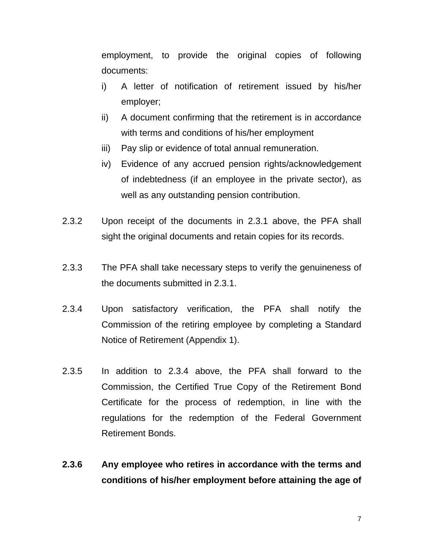employment, to provide the original copies of following documents:

- i) A letter of notification of retirement issued by his/her employer;
- ii) A document confirming that the retirement is in accordance with terms and conditions of his/her employment
- iii) Pay slip or evidence of total annual remuneration.
- iv) Evidence of any accrued pension rights/acknowledgement of indebtedness (if an employee in the private sector), as well as any outstanding pension contribution.
- 2.3.2 Upon receipt of the documents in 2.3.1 above, the PFA shall sight the original documents and retain copies for its records.
- 2.3.3 The PFA shall take necessary steps to verify the genuineness of the documents submitted in 2.3.1.
- 2.3.4 Upon satisfactory verification, the PFA shall notify the Commission of the retiring employee by completing a Standard Notice of Retirement (Appendix 1).
- 2.3.5 In addition to 2.3.4 above, the PFA shall forward to the Commission, the Certified True Copy of the Retirement Bond Certificate for the process of redemption, in line with the regulations for the redemption of the Federal Government Retirement Bonds.
- **2.3.6 Any employee who retires in accordance with the terms and conditions of his/her employment before attaining the age of**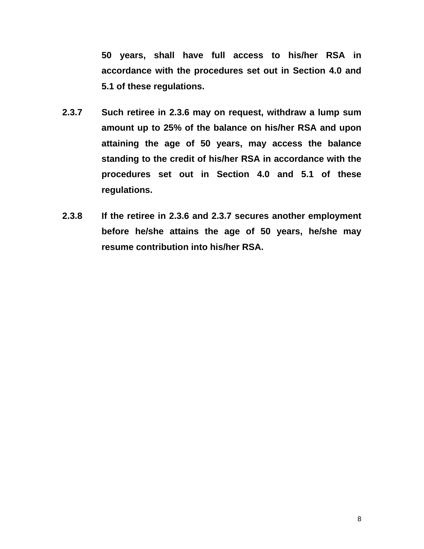**50 years, shall have full access to his/her RSA in accordance with the procedures set out in Section 4.0 and 5.1 of these regulations.** 

- **2.3.7 Such retiree in 2.3.6 may on request, withdraw a lump sum amount up to 25% of the balance on his/her RSA and upon attaining the age of 50 years, may access the balance standing to the credit of his/her RSA in accordance with the procedures set out in Section 4.0 and 5.1 of these regulations.**
- **2.3.8 If the retiree in 2.3.6 and 2.3.7 secures another employment before he/she attains the age of 50 years, he/she may resume contribution into his/her RSA.**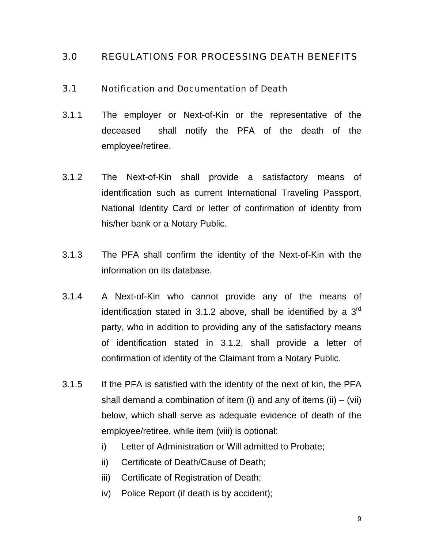#### 3.0 REGULATIONS FOR PROCESSING DEATH BENEFITS

#### 3.1 Notification and Documentation of Death

- 3.1.1 The employer or Next-of-Kin or the representative of the deceased shall notify the PFA of the death of the employee/retiree.
- 3.1.2 The Next-of-Kin shall provide a satisfactory means of identification such as current International Traveling Passport, National Identity Card or letter of confirmation of identity from his/her bank or a Notary Public.
- 3.1.3 The PFA shall confirm the identity of the Next-of-Kin with the information on its database.
- 3.1.4 A Next-of-Kin who cannot provide any of the means of identification stated in 3.1.2 above, shall be identified by a  $3<sup>rd</sup>$ party, who in addition to providing any of the satisfactory means of identification stated in 3.1.2, shall provide a letter of confirmation of identity of the Claimant from a Notary Public.
- 3.1.5 If the PFA is satisfied with the identity of the next of kin, the PFA shall demand a combination of item (i) and any of items (ii)  $-$  (vii) below, which shall serve as adequate evidence of death of the employee/retiree, while item (viii) is optional:
	- i) Letter of Administration or Will admitted to Probate;
	- ii) Certificate of Death/Cause of Death;
	- iii) Certificate of Registration of Death;
	- iv) Police Report (if death is by accident);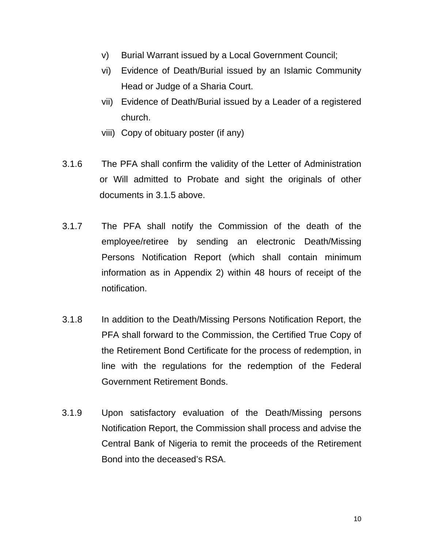- v) Burial Warrant issued by a Local Government Council;
- vi) Evidence of Death/Burial issued by an Islamic Community Head or Judge of a Sharia Court.
- vii) Evidence of Death/Burial issued by a Leader of a registered church.
- viii) Copy of obituary poster (if any)
- 3.1.6 The PFA shall confirm the validity of the Letter of Administration or Will admitted to Probate and sight the originals of other documents in 3.1.5 above.
- 3.1.7 The PFA shall notify the Commission of the death of the employee/retiree by sending an electronic Death/Missing Persons Notification Report (which shall contain minimum information as in Appendix 2) within 48 hours of receipt of the notification.
- 3.1.8 In addition to the Death/Missing Persons Notification Report, the PFA shall forward to the Commission, the Certified True Copy of the Retirement Bond Certificate for the process of redemption, in line with the regulations for the redemption of the Federal Government Retirement Bonds.
- 3.1.9 Upon satisfactory evaluation of the Death/Missing persons Notification Report, the Commission shall process and advise the Central Bank of Nigeria to remit the proceeds of the Retirement Bond into the deceased's RSA.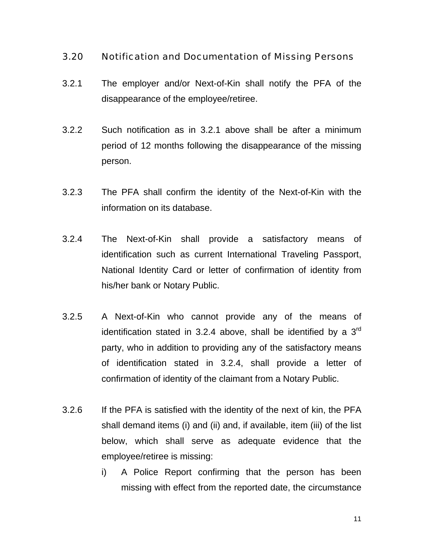#### 3.20 Notification and Documentation of Missing Persons

- 3.2.1 The employer and/or Next-of-Kin shall notify the PFA of the disappearance of the employee/retiree.
- 3.2.2 Such notification as in 3.2.1 above shall be after a minimum period of 12 months following the disappearance of the missing person.
- 3.2.3 The PFA shall confirm the identity of the Next-of-Kin with the information on its database.
- 3.2.4 The Next-of-Kin shall provide a satisfactory means of identification such as current International Traveling Passport, National Identity Card or letter of confirmation of identity from his/her bank or Notary Public.
- 3.2.5 A Next-of-Kin who cannot provide any of the means of identification stated in 3.2.4 above, shall be identified by a  $3<sup>rd</sup>$ party, who in addition to providing any of the satisfactory means of identification stated in 3.2.4, shall provide a letter of confirmation of identity of the claimant from a Notary Public.
- 3.2.6 If the PFA is satisfied with the identity of the next of kin, the PFA shall demand items (i) and (ii) and, if available, item (iii) of the list below, which shall serve as adequate evidence that the employee/retiree is missing:
	- i) A Police Report confirming that the person has been missing with effect from the reported date, the circumstance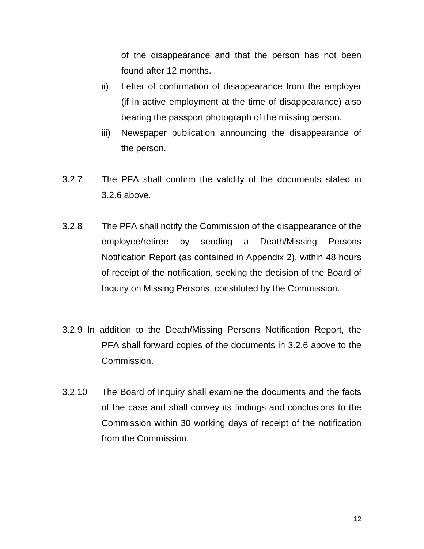of the disappearance and that the person has not been found after 12 months.

- ii) Letter of confirmation of disappearance from the employer (if in active employment at the time of disappearance) also bearing the passport photograph of the missing person.
- iii) Newspaper publication announcing the disappearance of the person.
- 3.2.7 The PFA shall confirm the validity of the documents stated in 3.2.6 above.
- 3.2.8 The PFA shall notify the Commission of the disappearance of the employee/retiree by sending a Death/Missing Persons Notification Report (as contained in Appendix 2), within 48 hours of receipt of the notification, seeking the decision of the Board of Inquiry on Missing Persons, constituted by the Commission.
- 3.2.9 In addition to the Death/Missing Persons Notification Report, the PFA shall forward copies of the documents in 3.2.6 above to the Commission.
- 3.2.10 The Board of Inquiry shall examine the documents and the facts of the case and shall convey its findings and conclusions to the Commission within 30 working days of receipt of the notification from the Commission.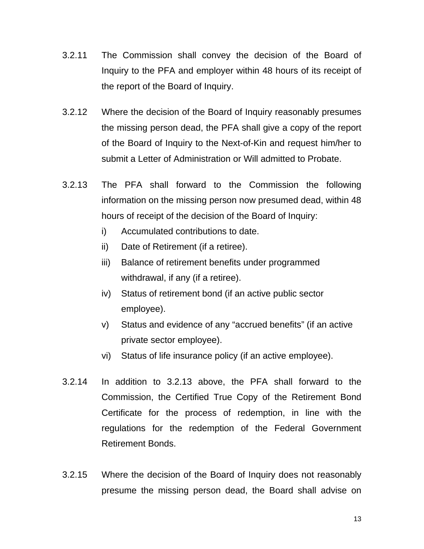- 3.2.11 The Commission shall convey the decision of the Board of Inquiry to the PFA and employer within 48 hours of its receipt of the report of the Board of Inquiry.
- 3.2.12 Where the decision of the Board of Inquiry reasonably presumes the missing person dead, the PFA shall give a copy of the report of the Board of Inquiry to the Next-of-Kin and request him/her to submit a Letter of Administration or Will admitted to Probate.
- 3.2.13 The PFA shall forward to the Commission the following information on the missing person now presumed dead, within 48 hours of receipt of the decision of the Board of Inquiry:
	- i) Accumulated contributions to date.
	- ii) Date of Retirement (if a retiree).
	- iii) Balance of retirement benefits under programmed withdrawal, if any (if a retiree).
	- iv) Status of retirement bond (if an active public sector employee).
	- v) Status and evidence of any "accrued benefits" (if an active private sector employee).
	- vi) Status of life insurance policy (if an active employee).
- 3.2.14 In addition to 3.2.13 above, the PFA shall forward to the Commission, the Certified True Copy of the Retirement Bond Certificate for the process of redemption, in line with the regulations for the redemption of the Federal Government Retirement Bonds.
- 3.2.15 Where the decision of the Board of Inquiry does not reasonably presume the missing person dead, the Board shall advise on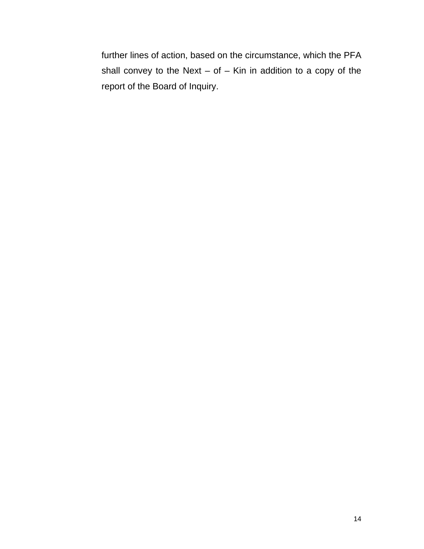further lines of action, based on the circumstance, which the PFA shall convey to the Next  $-$  of  $-$  Kin in addition to a copy of the report of the Board of Inquiry.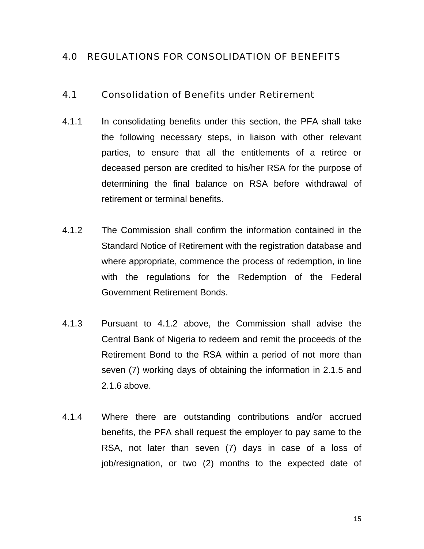#### 4.0 REGULATIONS FOR CONSOLIDATION OF BENEFITS

#### 4.1 Consolidation of Benefits under Retirement

- 4.1.1 In consolidating benefits under this section, the PFA shall take the following necessary steps, in liaison with other relevant parties, to ensure that all the entitlements of a retiree or deceased person are credited to his/her RSA for the purpose of determining the final balance on RSA before withdrawal of retirement or terminal benefits.
- 4.1.2 The Commission shall confirm the information contained in the Standard Notice of Retirement with the registration database and where appropriate, commence the process of redemption, in line with the regulations for the Redemption of the Federal Government Retirement Bonds.
- 4.1.3 Pursuant to 4.1.2 above, the Commission shall advise the Central Bank of Nigeria to redeem and remit the proceeds of the Retirement Bond to the RSA within a period of not more than seven (7) working days of obtaining the information in 2.1.5 and 2.1.6 above.
- 4.1.4 Where there are outstanding contributions and/or accrued benefits, the PFA shall request the employer to pay same to the RSA, not later than seven (7) days in case of a loss of job/resignation, or two (2) months to the expected date of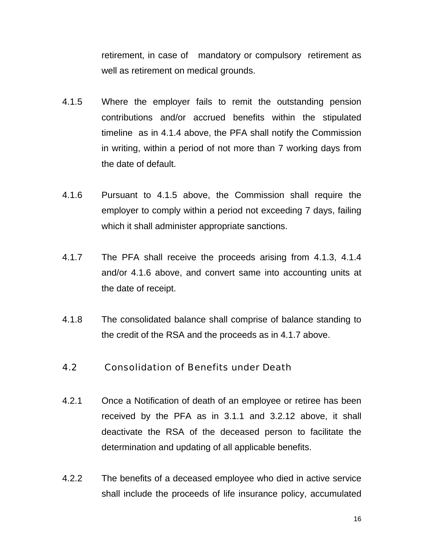retirement, in case of mandatory or compulsory retirement as well as retirement on medical grounds.

- 4.1.5 Where the employer fails to remit the outstanding pension contributions and/or accrued benefits within the stipulated timeline as in 4.1.4 above, the PFA shall notify the Commission in writing, within a period of not more than 7 working days from the date of default.
- 4.1.6 Pursuant to 4.1.5 above, the Commission shall require the employer to comply within a period not exceeding 7 days, failing which it shall administer appropriate sanctions.
- 4.1.7 The PFA shall receive the proceeds arising from 4.1.3, 4.1.4 and/or 4.1.6 above, and convert same into accounting units at the date of receipt.
- 4.1.8 The consolidated balance shall comprise of balance standing to the credit of the RSA and the proceeds as in 4.1.7 above.

#### 4.2 Consolidation of Benefits under Death

- 4.2.1 Once a Notification of death of an employee or retiree has been received by the PFA as in 3.1.1 and 3.2.12 above, it shall deactivate the RSA of the deceased person to facilitate the determination and updating of all applicable benefits.
- 4.2.2 The benefits of a deceased employee who died in active service shall include the proceeds of life insurance policy, accumulated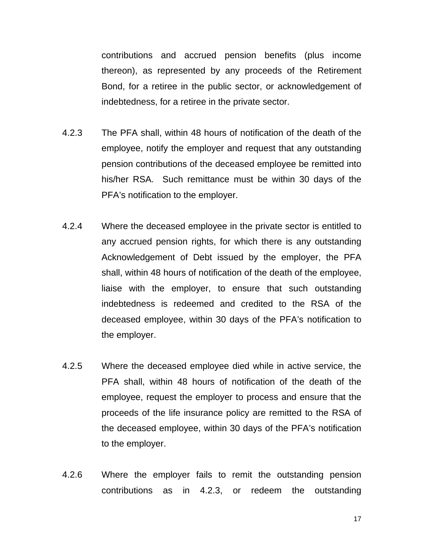contributions and accrued pension benefits (plus income thereon), as represented by any proceeds of the Retirement Bond, for a retiree in the public sector, or acknowledgement of indebtedness, for a retiree in the private sector.

- 4.2.3 The PFA shall, within 48 hours of notification of the death of the employee, notify the employer and request that any outstanding pension contributions of the deceased employee be remitted into his/her RSA. Such remittance must be within 30 days of the PFA's notification to the employer.
- 4.2.4 Where the deceased employee in the private sector is entitled to any accrued pension rights, for which there is any outstanding Acknowledgement of Debt issued by the employer, the PFA shall, within 48 hours of notification of the death of the employee, liaise with the employer, to ensure that such outstanding indebtedness is redeemed and credited to the RSA of the deceased employee, within 30 days of the PFA's notification to the employer.
- 4.2.5 Where the deceased employee died while in active service, the PFA shall, within 48 hours of notification of the death of the employee, request the employer to process and ensure that the proceeds of the life insurance policy are remitted to the RSA of the deceased employee, within 30 days of the PFA's notification to the employer.
- 4.2.6 Where the employer fails to remit the outstanding pension contributions as in 4.2.3, or redeem the outstanding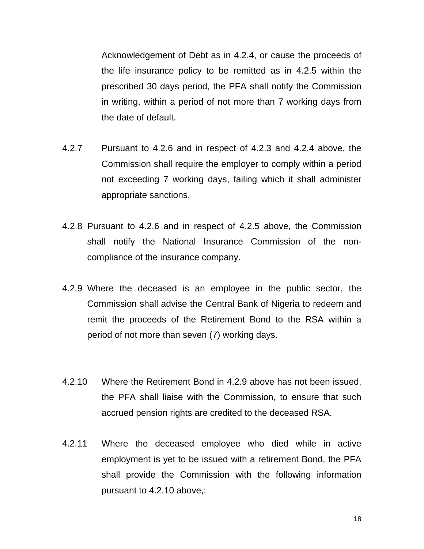Acknowledgement of Debt as in 4.2.4, or cause the proceeds of the life insurance policy to be remitted as in 4.2.5 within the prescribed 30 days period, the PFA shall notify the Commission in writing, within a period of not more than 7 working days from the date of default.

- 4.2.7 Pursuant to 4.2.6 and in respect of 4.2.3 and 4.2.4 above, the Commission shall require the employer to comply within a period not exceeding 7 working days, failing which it shall administer appropriate sanctions.
- 4.2.8 Pursuant to 4.2.6 and in respect of 4.2.5 above, the Commission shall notify the National Insurance Commission of the noncompliance of the insurance company.
- 4.2.9 Where the deceased is an employee in the public sector, the Commission shall advise the Central Bank of Nigeria to redeem and remit the proceeds of the Retirement Bond to the RSA within a period of not more than seven (7) working days.
- 4.2.10 Where the Retirement Bond in 4.2.9 above has not been issued, the PFA shall liaise with the Commission, to ensure that such accrued pension rights are credited to the deceased RSA.
- 4.2.11 Where the deceased employee who died while in active employment is yet to be issued with a retirement Bond, the PFA shall provide the Commission with the following information pursuant to 4.2.10 above,: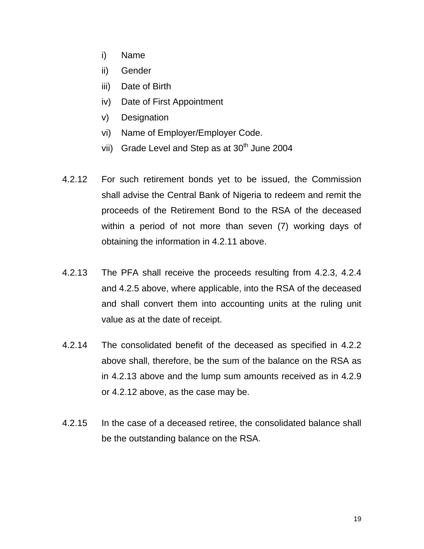- i) Name
- ii) Gender
- iii) Date of Birth
- iv) Date of First Appointment
- v) Designation
- vi) Name of Employer/Employer Code.
- vii) Grade Level and Step as at 30<sup>th</sup> June 2004
- 4.2.12 For such retirement bonds yet to be issued, the Commission shall advise the Central Bank of Nigeria to redeem and remit the proceeds of the Retirement Bond to the RSA of the deceased within a period of not more than seven (7) working days of obtaining the information in 4.2.11 above.
- 4.2.13 The PFA shall receive the proceeds resulting from 4.2.3, 4.2.4 and 4.2.5 above, where applicable, into the RSA of the deceased and shall convert them into accounting units at the ruling unit value as at the date of receipt.
- 4.2.14 The consolidated benefit of the deceased as specified in 4.2.2 above shall, therefore, be the sum of the balance on the RSA as in 4.2.13 above and the lump sum amounts received as in 4.2.9 or 4.2.12 above, as the case may be.
- 4.2.15 In the case of a deceased retiree, the consolidated balance shall be the outstanding balance on the RSA.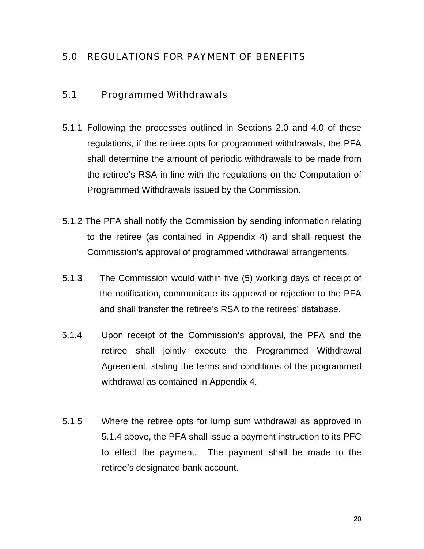### 5.0 REGULATIONS FOR PAYMENT OF BENEFITS

#### 5.1 Programmed Withdrawals

- 5.1.1 Following the processes outlined in Sections 2.0 and 4.0 of these regulations, if the retiree opts for programmed withdrawals, the PFA shall determine the amount of periodic withdrawals to be made from the retiree's RSA in line with the regulations on the Computation of Programmed Withdrawals issued by the Commission.
- 5.1.2 The PFA shall notify the Commission by sending information relating to the retiree (as contained in Appendix 4) and shall request the Commission's approval of programmed withdrawal arrangements.
- 5.1.3 The Commission would within five (5) working days of receipt of the notification, communicate its approval or rejection to the PFA and shall transfer the retiree's RSA to the retirees' database.
- 5.1.4 Upon receipt of the Commission's approval, the PFA and the retiree shall jointly execute the Programmed Withdrawal Agreement, stating the terms and conditions of the programmed withdrawal as contained in Appendix 4.
- 5.1.5 Where the retiree opts for lump sum withdrawal as approved in 5.1.4 above, the PFA shall issue a payment instruction to its PFC to effect the payment. The payment shall be made to the retiree's designated bank account.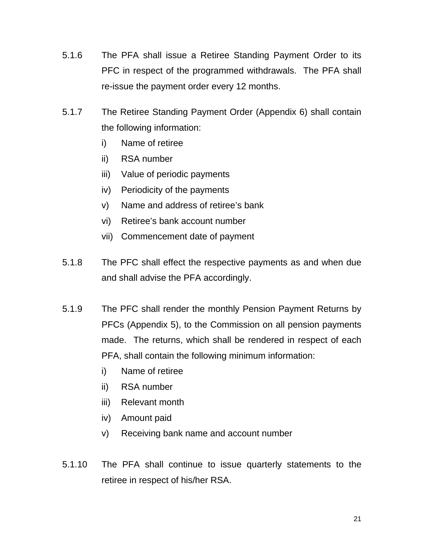- 5.1.6 The PFA shall issue a Retiree Standing Payment Order to its PFC in respect of the programmed withdrawals. The PFA shall re-issue the payment order every 12 months.
- 5.1.7 The Retiree Standing Payment Order (Appendix 6) shall contain the following information:
	- i) Name of retiree
	- ii) RSA number
	- iii) Value of periodic payments
	- iv) Periodicity of the payments
	- v) Name and address of retiree's bank
	- vi) Retiree's bank account number
	- vii) Commencement date of payment
- 5.1.8 The PFC shall effect the respective payments as and when due and shall advise the PFA accordingly.
- 5.1.9 The PFC shall render the monthly Pension Payment Returns by PFCs (Appendix 5), to the Commission on all pension payments made. The returns, which shall be rendered in respect of each PFA, shall contain the following minimum information:
	- i) Name of retiree
	- ii) RSA number
	- iii) Relevant month
	- iv) Amount paid
	- v) Receiving bank name and account number
- 5.1.10 The PFA shall continue to issue quarterly statements to the retiree in respect of his/her RSA.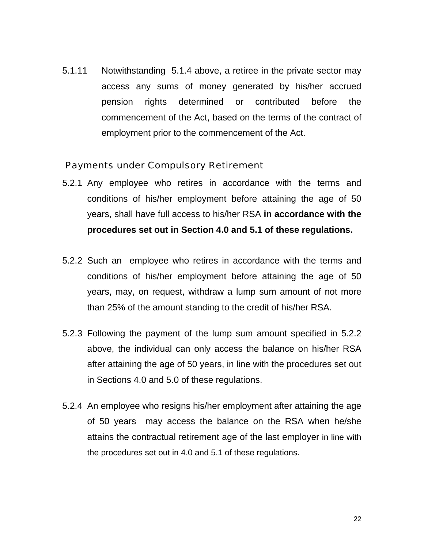5.1.11 Notwithstanding 5.1.4 above, a retiree in the private sector may access any sums of money generated by his/her accrued pension rights determined or contributed before the commencement of the Act, based on the terms of the contract of employment prior to the commencement of the Act.

#### Payments under Compulsory Retirement

- 5.2.1 Any employee who retires in accordance with the terms and conditions of his/her employment before attaining the age of 50 years, shall have full access to his/her RSA **in accordance with the procedures set out in Section 4.0 and 5.1 of these regulations.**
- 5.2.2 Such an employee who retires in accordance with the terms and conditions of his/her employment before attaining the age of 50 years, may, on request, withdraw a lump sum amount of not more than 25% of the amount standing to the credit of his/her RSA.
- 5.2.3 Following the payment of the lump sum amount specified in 5.2.2 above, the individual can only access the balance on his/her RSA after attaining the age of 50 years, in line with the procedures set out in Sections 4.0 and 5.0 of these regulations.
- 5.2.4 An employee who resigns his/her employment after attaining the age of 50 years may access the balance on the RSA when he/she attains the contractual retirement age of the last employer in line with the procedures set out in 4.0 and 5.1 of these regulations.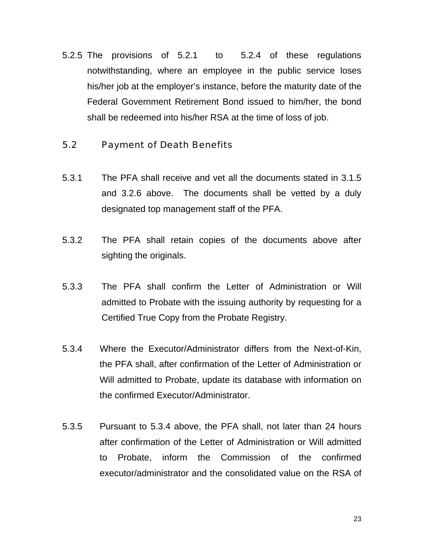5.2.5 The provisions of 5.2.1 to 5.2.4 of these regulations notwithstanding, where an employee in the public service loses his/her job at the employer's instance, before the maturity date of the Federal Government Retirement Bond issued to him/her, the bond shall be redeemed into his/her RSA at the time of loss of job.

#### 5.2 Payment of Death Benefits

- 5.3.1 The PFA shall receive and vet all the documents stated in 3.1.5 and 3.2.6 above. The documents shall be vetted by a duly designated top management staff of the PFA.
- 5.3.2 The PFA shall retain copies of the documents above after sighting the originals.
- 5.3.3 The PFA shall confirm the Letter of Administration or Will admitted to Probate with the issuing authority by requesting for a Certified True Copy from the Probate Registry.
- 5.3.4 Where the Executor/Administrator differs from the Next-of-Kin, the PFA shall, after confirmation of the Letter of Administration or Will admitted to Probate, update its database with information on the confirmed Executor/Administrator.
- 5.3.5 Pursuant to 5.3.4 above, the PFA shall, not later than 24 hours after confirmation of the Letter of Administration or Will admitted to Probate, inform the Commission of the confirmed executor/administrator and the consolidated value on the RSA of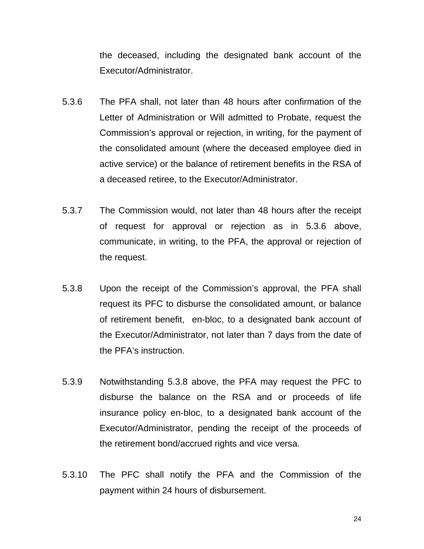the deceased, including the designated bank account of the Executor/Administrator.

- 5.3.6 The PFA shall, not later than 48 hours after confirmation of the Letter of Administration or Will admitted to Probate, request the Commission's approval or rejection, in writing, for the payment of the consolidated amount (where the deceased employee died in active service) or the balance of retirement benefits in the RSA of a deceased retiree, to the Executor/Administrator.
- 5.3.7 The Commission would, not later than 48 hours after the receipt of request for approval or rejection as in 5.3.6 above, communicate, in writing, to the PFA, the approval or rejection of the request.
- 5.3.8 Upon the receipt of the Commission's approval, the PFA shall request its PFC to disburse the consolidated amount, or balance of retirement benefit, en-bloc, to a designated bank account of the Executor/Administrator, not later than 7 days from the date of the PFA's instruction.
- 5.3.9 Notwithstanding 5.3.8 above, the PFA may request the PFC to disburse the balance on the RSA and or proceeds of life insurance policy en-bloc, to a designated bank account of the Executor/Administrator, pending the receipt of the proceeds of the retirement bond/accrued rights and vice versa.
- 5.3.10 The PFC shall notify the PFA and the Commission of the payment within 24 hours of disbursement.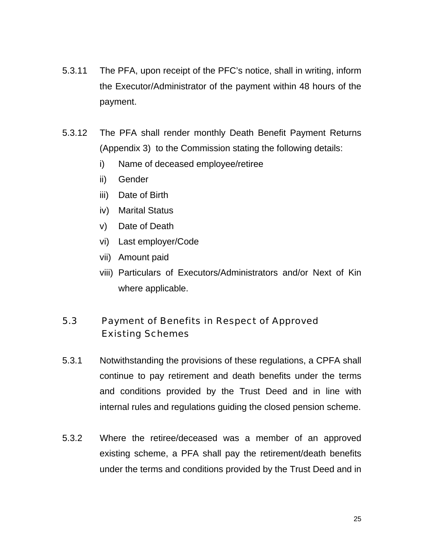- 5.3.11 The PFA, upon receipt of the PFC's notice, shall in writing, inform the Executor/Administrator of the payment within 48 hours of the payment.
- 5.3.12 The PFA shall render monthly Death Benefit Payment Returns (Appendix 3) to the Commission stating the following details:
	- i) Name of deceased employee/retiree
	- ii) Gender
	- iii) Date of Birth
	- iv) Marital Status
	- v) Date of Death
	- vi) Last employer/Code
	- vii) Amount paid
	- viii) Particulars of Executors/Administrators and/or Next of Kin where applicable.

# 5.3 Payment of Benefits in Respect of Approved Existing Schemes

- 5.3.1 Notwithstanding the provisions of these regulations, a CPFA shall continue to pay retirement and death benefits under the terms and conditions provided by the Trust Deed and in line with internal rules and regulations guiding the closed pension scheme.
- 5.3.2 Where the retiree/deceased was a member of an approved existing scheme, a PFA shall pay the retirement/death benefits under the terms and conditions provided by the Trust Deed and in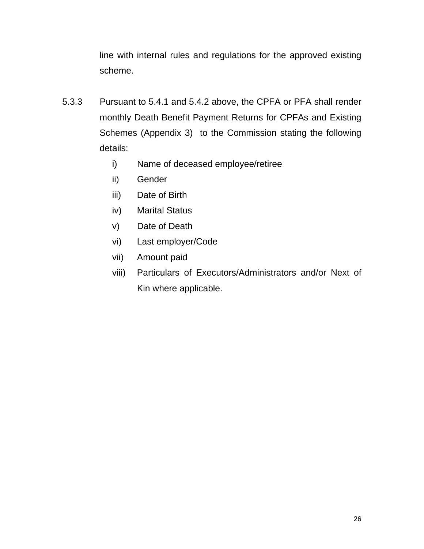line with internal rules and regulations for the approved existing scheme.

- 5.3.3 Pursuant to 5.4.1 and 5.4.2 above, the CPFA or PFA shall render monthly Death Benefit Payment Returns for CPFAs and Existing Schemes (Appendix 3) to the Commission stating the following details:
	- i) Name of deceased employee/retiree
	- ii) Gender
	- iii) Date of Birth
	- iv) Marital Status
	- v) Date of Death
	- vi) Last employer/Code
	- vii) Amount paid
	- viii) Particulars of Executors/Administrators and/or Next of Kin where applicable.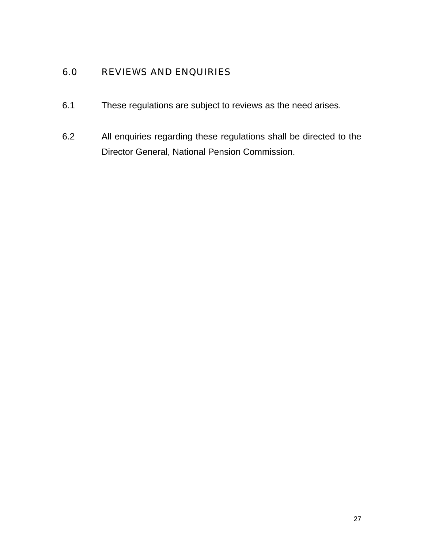### 6.0 REVIEWS AND ENQUIRIES

- 6.1 These regulations are subject to reviews as the need arises.
- 6.2 All enquiries regarding these regulations shall be directed to the Director General, National Pension Commission.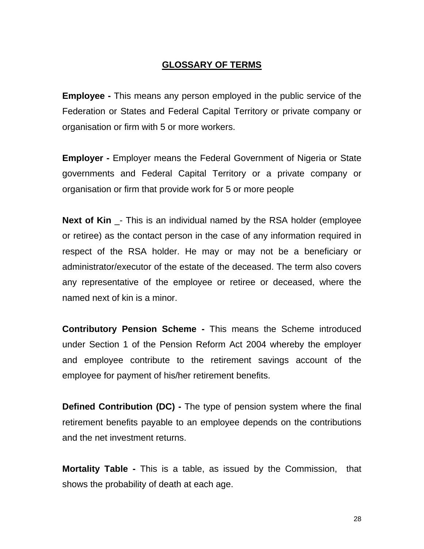#### **GLOSSARY OF TERMS**

**Employee -** This means any person employed in the public service of the Federation or States and Federal Capital Territory or private company or organisation or firm with 5 or more workers.

**Employer -** Employer means the Federal Government of Nigeria or State governments and Federal Capital Territory or a private company or organisation or firm that provide work for 5 or more people

**Next of Kin** \_- This is an individual named by the RSA holder (employee or retiree) as the contact person in the case of any information required in respect of the RSA holder. He may or may not be a beneficiary or administrator/executor of the estate of the deceased. The term also covers any representative of the employee or retiree or deceased, where the named next of kin is a minor.

**Contributory Pension Scheme -** This means the Scheme introduced under Section 1 of the Pension Reform Act 2004 whereby the employer and employee contribute to the retirement savings account of the employee for payment of his/her retirement benefits.

**Defined Contribution (DC) -** The type of pension system where the final retirement benefits payable to an employee depends on the contributions and the net investment returns.

**Mortality Table -** This is a table, as issued by the Commission, that shows the probability of death at each age.